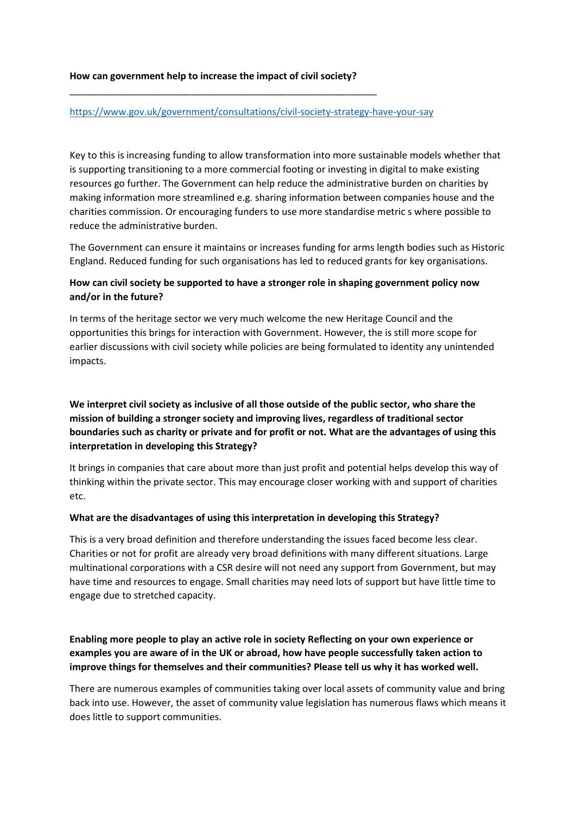### **How can government help to increase the impact of civil society?**

\_\_\_\_\_\_\_\_\_\_\_\_\_\_\_\_\_\_\_\_\_\_\_\_\_\_\_\_\_\_\_\_\_\_\_\_\_\_\_\_\_\_\_\_\_\_\_\_\_\_\_\_\_\_\_\_\_\_

### <https://www.gov.uk/government/consultations/civil-society-strategy-have-your-say>

Key to this is increasing funding to allow transformation into more sustainable models whether that is supporting transitioning to a more commercial footing or investing in digital to make existing resources go further. The Government can help reduce the administrative burden on charities by making information more streamlined e.g. sharing information between companies house and the charities commission. Or encouraging funders to use more standardise metric s where possible to reduce the administrative burden.

The Government can ensure it maintains or increases funding for arms length bodies such as Historic England. Reduced funding for such organisations has led to reduced grants for key organisations.

# **How can civil society be supported to have a stronger role in shaping government policy now and/or in the future?**

In terms of the heritage sector we very much welcome the new Heritage Council and the opportunities this brings for interaction with Government. However, the is still more scope for earlier discussions with civil society while policies are being formulated to identity any unintended impacts.

# **We interpret civil society as inclusive of all those outside of the public sector, who share the mission of building a stronger society and improving lives, regardless of traditional sector boundaries such as charity or private and for profit or not. What are the advantages of using this interpretation in developing this Strategy?**

It brings in companies that care about more than just profit and potential helps develop this way of thinking within the private sector. This may encourage closer working with and support of charities etc.

## **What are the disadvantages of using this interpretation in developing this Strategy?**

This is a very broad definition and therefore understanding the issues faced become less clear. Charities or not for profit are already very broad definitions with many different situations. Large multinational corporations with a CSR desire will not need any support from Government, but may have time and resources to engage. Small charities may need lots of support but have little time to engage due to stretched capacity.

# **Enabling more people to play an active role in society Reflecting on your own experience or examples you are aware of in the UK or abroad, how have people successfully taken action to improve things for themselves and their communities? Please tell us why it has worked well.**

There are numerous examples of communities taking over local assets of community value and bring back into use. However, the asset of community value legislation has numerous flaws which means it does little to support communities.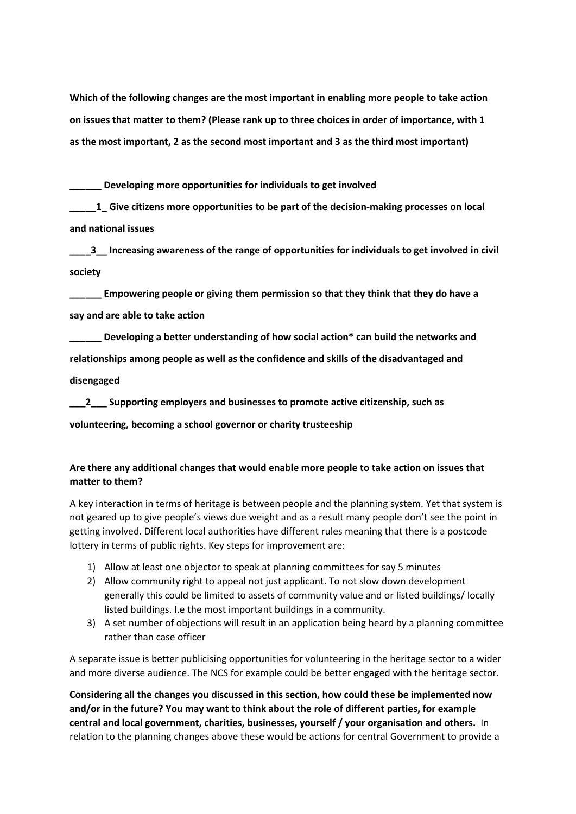**Which of the following changes are the most important in enabling more people to take action on issues that matter to them? (Please rank up to three choices in order of importance, with 1 as the most important, 2 as the second most important and 3 as the third most important)**

**\_\_\_\_\_\_ Developing more opportunities for individuals to get involved**

**\_\_\_\_\_1\_ Give citizens more opportunities to be part of the decision-making processes on local and national issues**

**\_\_\_\_3\_\_ Increasing awareness of the range of opportunities for individuals to get involved in civil society**

**\_\_\_\_\_\_ Empowering people or giving them permission so that they think that they do have a say and are able to take action**

**\_\_\_\_\_\_ Developing a better understanding of how social action\* can build the networks and relationships among people as well as the confidence and skills of the disadvantaged and disengaged**

**\_\_\_2\_\_\_ Supporting employers and businesses to promote active citizenship, such as volunteering, becoming a school governor or charity trusteeship** 

# **Are there any additional changes that would enable more people to take action on issues that matter to them?**

A key interaction in terms of heritage is between people and the planning system. Yet that system is not geared up to give people's views due weight and as a result many people don't see the point in getting involved. Different local authorities have different rules meaning that there is a postcode lottery in terms of public rights. Key steps for improvement are:

- 1) Allow at least one objector to speak at planning committees for say 5 minutes
- 2) Allow community right to appeal not just applicant. To not slow down development generally this could be limited to assets of community value and or listed buildings/ locally listed buildings. I.e the most important buildings in a community.
- 3) A set number of objections will result in an application being heard by a planning committee rather than case officer

A separate issue is better publicising opportunities for volunteering in the heritage sector to a wider and more diverse audience. The NCS for example could be better engaged with the heritage sector.

**Considering all the changes you discussed in this section, how could these be implemented now and/or in the future? You may want to think about the role of different parties, for example central and local government, charities, businesses, yourself / your organisation and others.** In relation to the planning changes above these would be actions for central Government to provide a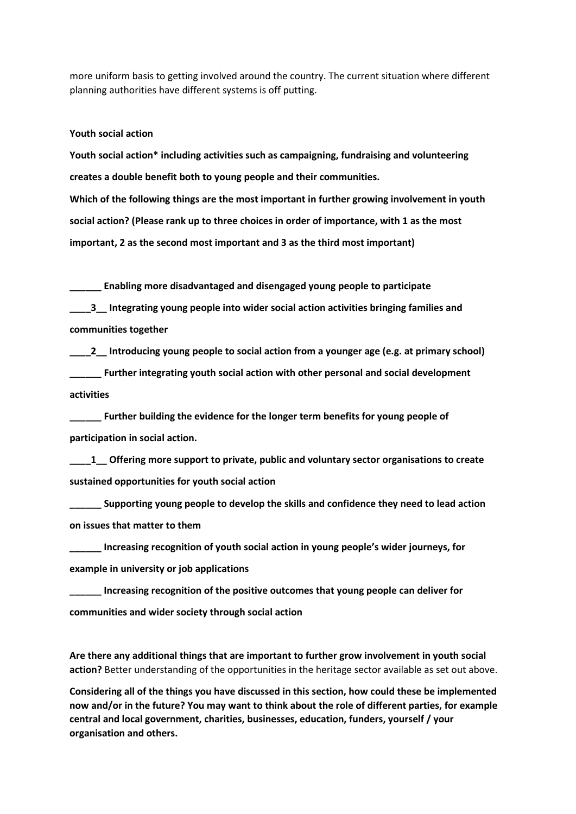more uniform basis to getting involved around the country. The current situation where different planning authorities have different systems is off putting.

#### **Youth social action**

**Youth social action\* including activities such as campaigning, fundraising and volunteering creates a double benefit both to young people and their communities. Which of the following things are the most important in further growing involvement in youth social action? (Please rank up to three choices in order of importance, with 1 as the most important, 2 as the second most important and 3 as the third most important)**

**\_\_\_\_\_\_ Enabling more disadvantaged and disengaged young people to participate**

**\_\_\_\_3\_\_ Integrating young people into wider social action activities bringing families and communities together**

**\_\_\_\_2\_\_ Introducing young people to social action from a younger age (e.g. at primary school) \_\_\_\_\_\_ Further integrating youth social action with other personal and social development activities**

**\_\_\_\_\_\_ Further building the evidence for the longer term benefits for young people of participation in social action.**

**\_\_\_\_1\_\_ Offering more support to private, public and voluntary sector organisations to create sustained opportunities for youth social action**

**\_\_\_\_\_\_ Supporting young people to develop the skills and confidence they need to lead action on issues that matter to them**

**\_\_\_\_\_\_ Increasing recognition of youth social action in young people's wider journeys, for example in university or job applications**

**\_\_\_\_\_\_ Increasing recognition of the positive outcomes that young people can deliver for communities and wider society through social action**

**Are there any additional things that are important to further grow involvement in youth social action?** Better understanding of the opportunities in the heritage sector available as set out above.

**Considering all of the things you have discussed in this section, how could these be implemented now and/or in the future? You may want to think about the role of different parties, for example central and local government, charities, businesses, education, funders, yourself / your organisation and others.**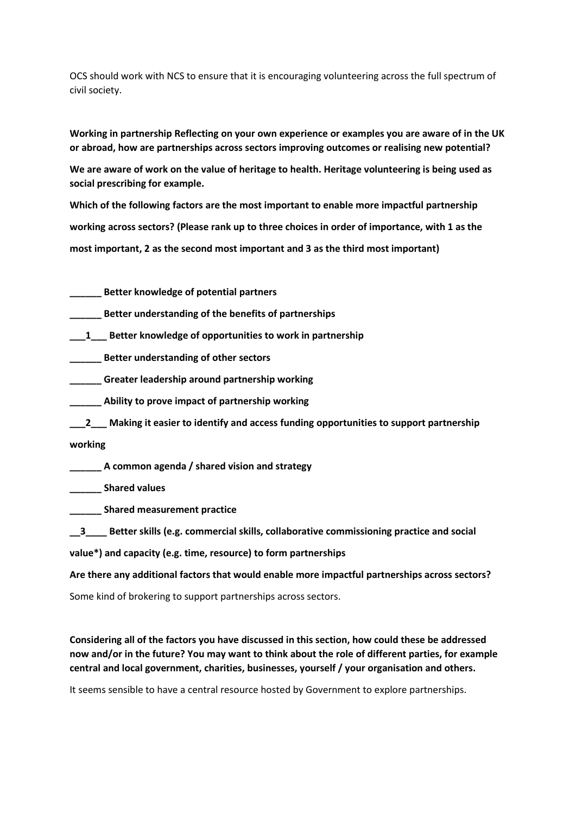OCS should work with NCS to ensure that it is encouraging volunteering across the full spectrum of civil society.

**Working in partnership Reflecting on your own experience or examples you are aware of in the UK or abroad, how are partnerships across sectors improving outcomes or realising new potential?**

**We are aware of work on the value of heritage to health. Heritage volunteering is being used as social prescribing for example.**

**Which of the following factors are the most important to enable more impactful partnership working across sectors? (Please rank up to three choices in order of importance, with 1 as the most important, 2 as the second most important and 3 as the third most important)**

**\_\_\_\_\_\_ Better knowledge of potential partners**

**\_\_\_\_\_\_ Better understanding of the benefits of partnerships**

**\_\_\_1\_\_\_ Better knowledge of opportunities to work in partnership**

**\_\_\_\_\_\_ Better understanding of other sectors**

**\_\_\_\_\_\_ Greater leadership around partnership working**

**\_\_\_\_\_\_ Ability to prove impact of partnership working**

**\_\_\_2\_\_\_ Making it easier to identify and access funding opportunities to support partnership**

**working**

**\_\_\_\_\_\_ A common agenda / shared vision and strategy**

**\_\_\_\_\_\_ Shared values**

**\_\_\_\_\_\_ Shared measurement practice**

**\_\_3\_\_\_\_ Better skills (e.g. commercial skills, collaborative commissioning practice and social**

**value\*) and capacity (e.g. time, resource) to form partnerships**

**Are there any additional factors that would enable more impactful partnerships across sectors?**

Some kind of brokering to support partnerships across sectors.

**Considering all of the factors you have discussed in this section, how could these be addressed now and/or in the future? You may want to think about the role of different parties, for example central and local government, charities, businesses, yourself / your organisation and others.**

It seems sensible to have a central resource hosted by Government to explore partnerships.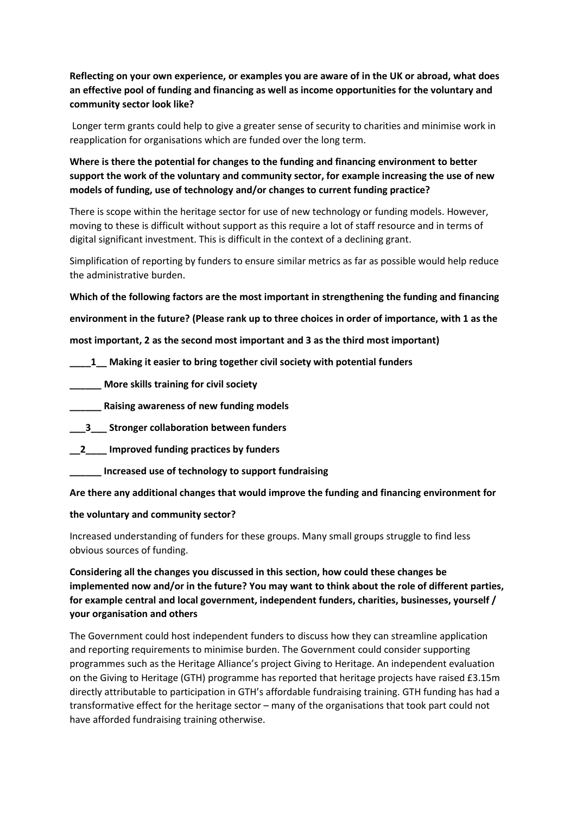**Reflecting on your own experience, or examples you are aware of in the UK or abroad, what does an effective pool of funding and financing as well as income opportunities for the voluntary and community sector look like?**

Longer term grants could help to give a greater sense of security to charities and minimise work in reapplication for organisations which are funded over the long term.

**Where is there the potential for changes to the funding and financing environment to better support the work of the voluntary and community sector, for example increasing the use of new models of funding, use of technology and/or changes to current funding practice?**

There is scope within the heritage sector for use of new technology or funding models. However, moving to these is difficult without support as this require a lot of staff resource and in terms of digital significant investment. This is difficult in the context of a declining grant.

Simplification of reporting by funders to ensure similar metrics as far as possible would help reduce the administrative burden.

**Which of the following factors are the most important in strengthening the funding and financing**

**environment in the future? (Please rank up to three choices in order of importance, with 1 as the**

**most important, 2 as the second most important and 3 as the third most important)**

- **\_\_\_\_1\_\_ Making it easier to bring together civil society with potential funders**
- **\_\_\_\_\_\_ More skills training for civil society**
- **\_\_\_\_\_\_ Raising awareness of new funding models**
- **\_\_\_3\_\_\_ Stronger collaboration between funders**
- **\_\_2\_\_\_\_ Improved funding practices by funders**
	- **\_\_\_\_\_\_ Increased use of technology to support fundraising**

**Are there any additional changes that would improve the funding and financing environment for**

## **the voluntary and community sector?**

Increased understanding of funders for these groups. Many small groups struggle to find less obvious sources of funding.

**Considering all the changes you discussed in this section, how could these changes be implemented now and/or in the future? You may want to think about the role of different parties, for example central and local government, independent funders, charities, businesses, yourself / your organisation and others**

The Government could host independent funders to discuss how they can streamline application and reporting requirements to minimise burden. The Government could consider supporting programmes such as the Heritage Alliance's project Giving to Heritage. An independent evaluation on the Giving to Heritage (GTH) programme has reported that heritage projects have raised £3.15m directly attributable to participation in GTH's affordable fundraising training. GTH funding has had a transformative effect for the heritage sector – many of the organisations that took part could not have afforded fundraising training otherwise.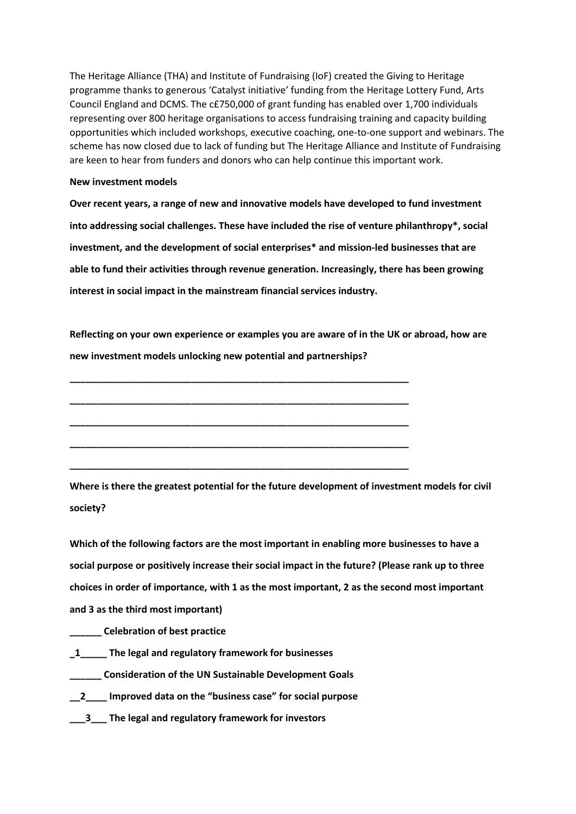The Heritage Alliance (THA) and Institute of Fundraising (IoF) created the Giving to Heritage programme thanks to generous 'Catalyst initiative' funding from the Heritage Lottery Fund, Arts Council England and DCMS. The c£750,000 of grant funding has enabled over 1,700 individuals representing over 800 heritage organisations to access fundraising training and capacity building opportunities which included workshops, executive coaching, one-to-one support and webinars. The scheme has now closed due to lack of funding but The Heritage Alliance and Institute of Fundraising are keen to hear from funders and donors who can help continue this important work.

#### **New investment models**

**Over recent years, a range of new and innovative models have developed to fund investment into addressing social challenges. These have included the rise of venture philanthropy\*, social investment, and the development of social enterprises\* and mission-led businesses that are able to fund their activities through revenue generation. Increasingly, there has been growing interest in social impact in the mainstream financial services industry.**

**Reflecting on your own experience or examples you are aware of in the UK or abroad, how are new investment models unlocking new potential and partnerships?**

**\_\_\_\_\_\_\_\_\_\_\_\_\_\_\_\_\_\_\_\_\_\_\_\_\_\_\_\_\_\_\_\_\_\_\_\_\_\_\_\_\_\_\_\_\_\_\_\_\_\_\_\_\_\_\_\_\_\_\_\_\_\_\_\_**

**\_\_\_\_\_\_\_\_\_\_\_\_\_\_\_\_\_\_\_\_\_\_\_\_\_\_\_\_\_\_\_\_\_\_\_\_\_\_\_\_\_\_\_\_\_\_\_\_\_\_\_\_\_\_\_\_\_\_\_\_\_\_\_\_**

**\_\_\_\_\_\_\_\_\_\_\_\_\_\_\_\_\_\_\_\_\_\_\_\_\_\_\_\_\_\_\_\_\_\_\_\_\_\_\_\_\_\_\_\_\_\_\_\_\_\_\_\_\_\_\_\_\_\_\_\_\_\_\_\_**

**\_\_\_\_\_\_\_\_\_\_\_\_\_\_\_\_\_\_\_\_\_\_\_\_\_\_\_\_\_\_\_\_\_\_\_\_\_\_\_\_\_\_\_\_\_\_\_\_\_\_\_\_\_\_\_\_\_\_\_\_\_\_\_\_**

**\_\_\_\_\_\_\_\_\_\_\_\_\_\_\_\_\_\_\_\_\_\_\_\_\_\_\_\_\_\_\_\_\_\_\_\_\_\_\_\_\_\_\_\_\_\_\_\_\_\_\_\_\_\_\_\_\_\_\_\_\_\_\_\_**

**Where is there the greatest potential for the future development of investment models for civil society?**

**Which of the following factors are the most important in enabling more businesses to have a social purpose or positively increase their social impact in the future? (Please rank up to three choices in order of importance, with 1 as the most important, 2 as the second most important and 3 as the third most important)**

**\_\_\_\_\_\_ Celebration of best practice**

- **\_1\_\_\_\_\_ The legal and regulatory framework for businesses**
- **\_\_\_\_\_\_ Consideration of the UN Sustainable Development Goals**
- **\_\_2\_\_\_\_ Improved data on the "business case" for social purpose**
- **\_\_\_3\_\_\_ The legal and regulatory framework for investors**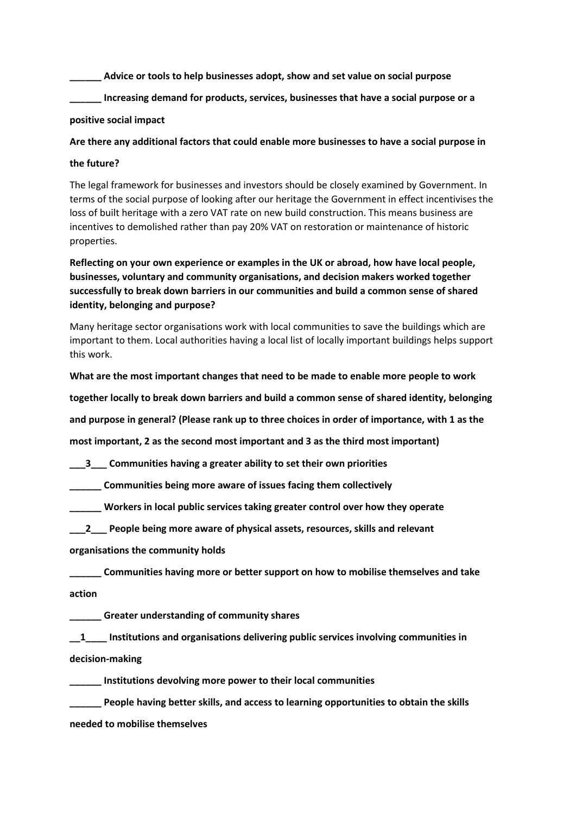**\_\_\_\_\_\_ Advice or tools to help businesses adopt, show and set value on social purpose**

**\_\_\_\_\_\_ Increasing demand for products, services, businesses that have a social purpose or a**

## **positive social impact**

**Are there any additional factors that could enable more businesses to have a social purpose in**

## **the future?**

The legal framework for businesses and investors should be closely examined by Government. In terms of the social purpose of looking after our heritage the Government in effect incentivises the loss of built heritage with a zero VAT rate on new build construction. This means business are incentives to demolished rather than pay 20% VAT on restoration or maintenance of historic properties.

**Reflecting on your own experience or examples in the UK or abroad, how have local people, businesses, voluntary and community organisations, and decision makers worked together successfully to break down barriers in our communities and build a common sense of shared identity, belonging and purpose?**

Many heritage sector organisations work with local communities to save the buildings which are important to them. Local authorities having a local list of locally important buildings helps support this work.

**What are the most important changes that need to be made to enable more people to work**

**together locally to break down barriers and build a common sense of shared identity, belonging**

**and purpose in general? (Please rank up to three choices in order of importance, with 1 as the**

**most important, 2 as the second most important and 3 as the third most important)**

**\_\_\_3\_\_\_ Communities having a greater ability to set their own priorities**

**\_\_\_\_\_\_ Communities being more aware of issues facing them collectively**

**\_\_\_\_\_\_ Workers in local public services taking greater control over how they operate**

**\_\_\_2\_\_\_ People being more aware of physical assets, resources, skills and relevant**

**organisations the community holds**

**\_\_\_\_\_\_ Communities having more or better support on how to mobilise themselves and take action**

**\_\_\_\_\_\_ Greater understanding of community shares**

**\_\_1\_\_\_\_ Institutions and organisations delivering public services involving communities in decision-making**

**\_\_\_\_\_\_ Institutions devolving more power to their local communities**

**\_\_\_\_\_\_ People having better skills, and access to learning opportunities to obtain the skills needed to mobilise themselves**